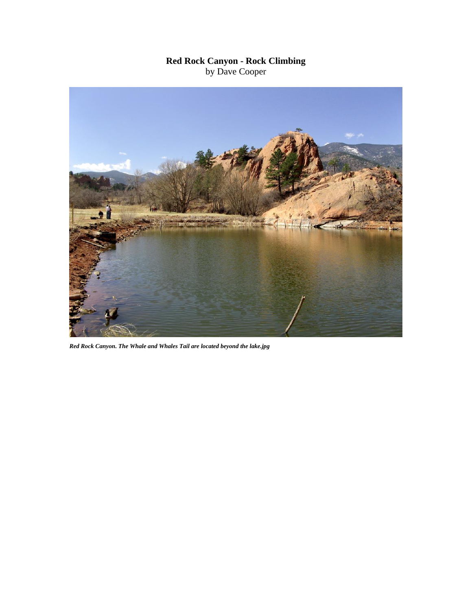## **Red Rock Canyon - Rock Climbing** by Dave Cooper



*Red Rock Canyon. The Whale and Whales Tail are located beyond the lake.jpg*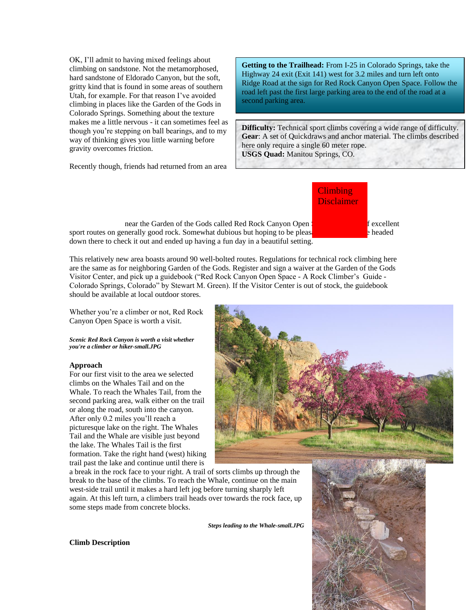OK, I'll admit to having mixed feelings about climbing on sandstone. Not the metamorphosed, hard sandstone of Eldorado Canyon, but the soft, gritty kind that is found in some areas of southern Utah, for example. For that reason I've avoided climbing in places like the Garden of the Gods in Colorado Springs. Something about the texture makes me a little nervous - it can sometimes feel as though you're stepping on ball bearings, and to my way of thinking gives you little warning before gravity overcomes friction.

Recently though, friends had returned from an area

**Getting to the Trailhead:** From I-25 in Colorado Springs, take the Highway 24 exit (Exit 141) west for 3.2 miles and turn left onto Ridge Road at the sign for Red Rock Canyon Open Space. Follow the road left past the first large parking area to the end of the road at a second parking area.

**Difficulty:** Technical sport climbs covering a wide range of difficulty. **Gear**: A set of Quickdraws and anchor material. The climbs described here only require a single 60 meter rope. **USGS Quad:** Manitou Springs, CO.

near the Garden of the Gods called Red Rock Canyon Open Space with the space of excellent sport routes on generally good rock. Somewhat dubious but hoping to be please  $\frac{1}{2}$  headed down there to check it out and ended up having a fun day in a beautiful setting.

This relatively new area boasts around 90 well-bolted routes. Regulations for technical rock climbing here are the same as for neighboring Garden of the Gods. Register and sign a waiver at the Garden of the Gods Visitor Center, and pick up a guidebook ("Red Rock Canyon Open Space - A Rock Climber's Guide - Colorado Springs, Colorado" by Stewart M. Green). If the Visitor Center is out of stock, the guidebook should be available at local outdoor stores.

Whether you're a climber or not, Red Rock Canyon Open Space is worth a visit.

*Scenic Red Rock Canyon is worth a visit whether you're a climber or hiker-small.JPG*

## **Approach**

For our first visit to the area we selected climbs on the Whales Tail and on the Whale. To reach the Whales Tail, from the second parking area, walk either on the trail or along the road, south into the canyon. After only 0.2 miles you'll reach a picturesque lake on the right. The Whales Tail and the Whale are visible just beyond the lake. The Whales Tail is the first formation. Take the right hand (west) hiking trail past the lake and continue until there is

a break in the rock face to your right. A trail of sorts climbs up through the break to the base of the climbs. To reach the Whale, continue on the main west-side trail until it makes a hard left jog before turning sharply left again. At this left turn, a climbers trail heads over towards the rock face, up some steps made from concrete blocks.

*Steps leading to the Whale-small.JPG*



**Climb Description**

## **Climbing** Disclaimer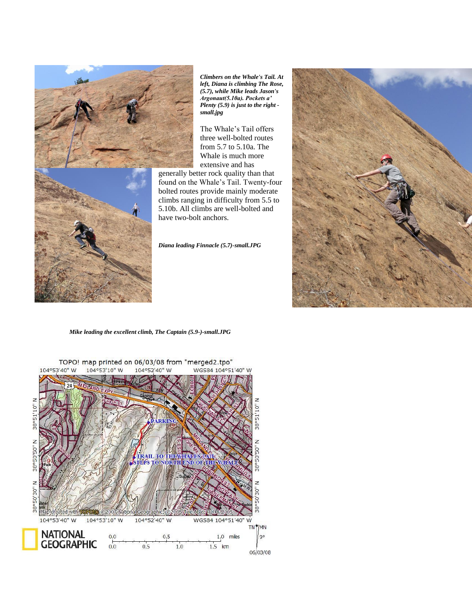

*Climbers on the Whale's Tail. At left, Diana is climbing The Rose, (5.7), while Mike leads Jason's Argonaut(5.10a). Pockets a' Plenty (5.9) is just to the right small.jpg*

The Whale's Tail offers three well-bolted routes from 5.7 to 5.10a. The Whale is much more extensive and has

generally better rock quality than that found on the Whale's Tail. Twenty-four bolted routes provide mainly moderate climbs ranging in difficulty from 5.5 to 5.10b. All climbs are well-bolted and have two-bolt anchors.

*Diana leading Finnacle (5.7)-small.JPG*



*Mike leading the excellent climb, The Captain (5.9-)-small.JPG*